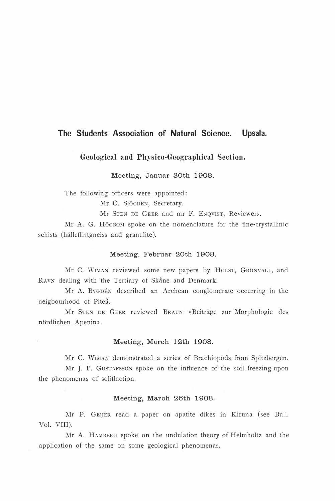# The Students Association of Natural Science. Upsala.

Geological and Physico-Geographical Section.

Meeting, Jannar 30th 1908.

The following officers were appointed:

Mr O. SJÖGREN, Secretary.

Mr STEN DE GEER and mr F. ENQVIST, Reviewers.

Mr A. G. HöGBOM spoke on the nomenclature for the fine-crystallinic schists (hälleflintgneiss and granulite).

### Meeting, Februar 20th 1908.

Mr C. WIMAN reviewed some new papers by HOLST, GRÖNVALL, and RAVN dealing with the Tertiary of Skåne and Denmark.

Mr A. BYGDÉN described an Archean conglomerate occurring in the neigbourhood of Piteå.

:Mr STEN DE GEER reviewed BRAUN » Beiträge zur Morphologie des närdlichen Apenin».

# Meeting, March 12th 1908.

Mr C. WIMAN demonstrated a series of Brachiopods from Spitzbergen.

Mr J. P. GUSTAFSSON spoke on the influence of the soil freezing upon the phenomenas of solifluction.

# Meeting, March 26th 1908.

Mr P. GEIJER read a paper on apatite dikes in Kiruna (see Bull. Vol. VIII).

Mr A. HAMBERG spoke on the undulation theory of Helmholtz and the application of the same on some geological phenomenas.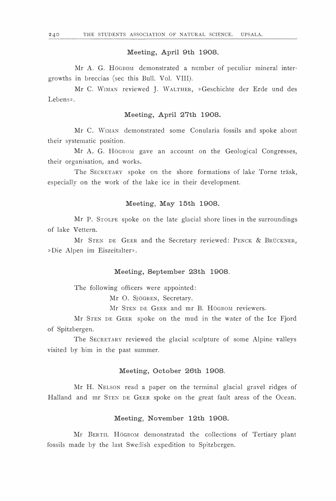# Meeting, April 9th 1908.

Mr A. G. Högbom demonstrated a number of peculiar mineral intergrowths in breccias (see this Bull. Vol. VIII).

Mr C. WrMAN reviewed J. WALTHER, »Geschichte der Erde und des Lebens».

# Meeting, April 27th 1908.

Mr C. WrMAN demonstrated some Conularia fossils and spoke about their systematic position.

Mr A. G. HöGBOM gave an account on the Geological Congresses, their organisation, and works.

The SECRETARY spoke on the shore formations of lake Torne träsk, especially on the work of the lake ice in their development.

# Meeting, May 15th 1908.

Mr P. STOLPE spoke on the late glacial shore lines in the surroundings of lake Vettern.

Mr STEN DE GEER and the Secretary reviewed: PENCK & BRÜCKNER, »Die Alpen im Eiszeitalter».

#### Meeting, September 23th 1908.

The following officers were appointed:

Mr O. SJöGREN, Secretary.

Mr STEN DE GEER and mr B. HöGBOM reviewers.

Mr STEN DE GEER spoke on the mud in the water of the Ice Fjord of Spitzbergen.

The SECRETARY reviewed the glacial sculpture of some Alpine valleys visited by him in the past summer.

# Meeting, October 26th 1908.

Mr H. NELSON read a paper on the terminal glacial gravel ridges of Halland and mr STEN DE GEER spoke on the great fault areas of the Ocean.

### Meeting, November 12th 1908.

Mr BERTIL HöGBOM demonstratad the collections of Tertiary plant fossils made by the last Swedish expedition to Spitzbergen.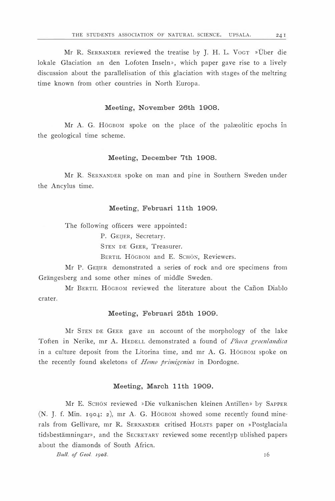Mr R. SERNANDER reviewed the treatise by J. H. L. VOGT » Über die lokale Glaciation an den Lofoten Inseln», which paper gave rise to a Iively discussion about the parallelisation of this glaciation with stages of the meltring time known from other countries in North Europa.

# Meeting, November 26th 1908.

Mr A. G. HöGBOM spoke on the place of the palæolitic epochs in the geological time scheme.

# Meeting, December 7th 1908.

Mr R. SERNANDER spoke on man and pine in Southern Sweden under the Ancylus time.

#### Meeting, Februari 11th 1909.

The following officers were appointed:

P. GEIJER, Secretary.

STEN DE GEER, Treasurer.

BERTIL HÖGBOM and E. SCHÖN, Reviewers.

Mr P. GEIJER demonstrated a series of rock and ore specimens from Grängesberg and some other mines of middle Sweden.

Mr BERTIL HöGBOM reviewed the literature about the Canon Diabio crater.

# Meeting, Februari 25th 1909.

Mr STEN DE GEER gave an account of the morphology of the lake Toften in Nerike, mr A. HEDELL demonstrated a found of Phoca groenlandica in a culture deposit from the Litorina time, and  $mr A$ . G. HöGBOM spoke on the recently found skeletons of *Homo primigenius* in Dordogne.

# Meeting, March 11th 1909.

Mr E. ScHöN reviewed »Die vulkanischen kleinen Antillen» by SAPPER (N. J. f. Min. 1904: z), mr A. G. HöGBOM showed some recently found mine· rals from Gellivare, mr R. SERNANDER critised HOLSTS paper on »Postglaciala tidsbestämningar», and the SECRETARY reviewed some recentlyp ublished papers about the diamonds of South Africa.

Bull. of Geol. 1908.